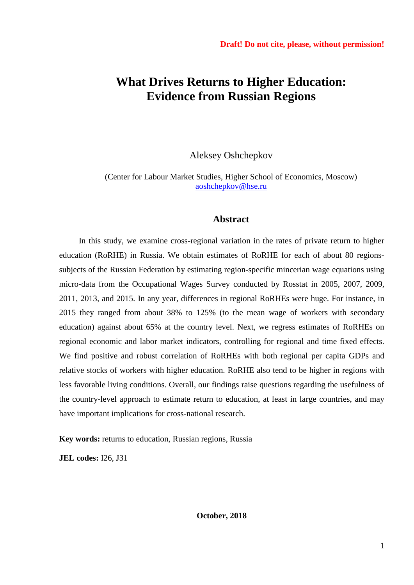# **What Drives Returns to Higher Education: Evidence from Russian Regions**

Aleksey Oshchepkov

(Center for Labour Market Studies, Higher School of Economics, Moscow) [aoshchepkov@hse.ru](mailto:aoshchepkov@hse.ru)

# **Abstract**

In this study, we examine cross-regional variation in the rates of private return to higher education (RoRHE) in Russia. We obtain estimates of RoRHE for each of about 80 regionssubjects of the Russian Federation by estimating region-specific mincerian wage equations using micro-data from the Occupational Wages Survey conducted by Rosstat in 2005, 2007, 2009, 2011, 2013, and 2015. In any year, differences in regional RoRHEs were huge. For instance, in 2015 they ranged from about 38% to 125% (to the mean wage of workers with secondary education) against about 65% at the country level. Next, we regress estimates of RoRHEs on regional economic and labor market indicators, controlling for regional and time fixed effects. We find positive and robust correlation of RoRHEs with both regional per capita GDPs and relative stocks of workers with higher education. RoRHE also tend to be higher in regions with less favorable living conditions. Overall, our findings raise questions regarding the usefulness of the country-level approach to estimate return to education, at least in large countries, and may have important implications for cross-national research.

**Key words:** returns to education, Russian regions, Russia

**JEL codes:** I26, J31

**October, 2018**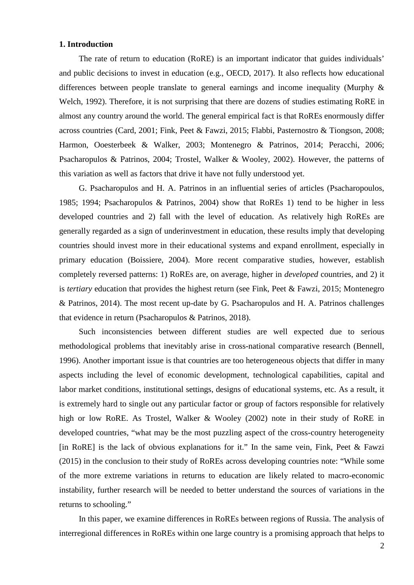# **1. Introduction**

The rate of return to education (RoRE) is an important indicator that guides individuals' and public decisions to invest in education (e.g., OECD, 2017). It also reflects how educational differences between people translate to general earnings and income inequality (Murphy & Welch, 1992). Therefore, it is not surprising that there are dozens of studies estimating RoRE in almost any country around the world. The general empirical fact is that RoREs enormously differ across countries (Card, 2001; Fink, Peet & Fawzi, 2015; Flabbi, Pasternostro & Tiongson, 2008; Harmon, Ooesterbeek & Walker, 2003; Montenegro & Patrinos, 2014; Peracchi, 2006; Psacharopulos & Patrinos, 2004; Trostel, Walker & Wooley, 2002). However, the patterns of this variation as well as factors that drive it have not fully understood yet.

G. Psacharopulos and H. A. Patrinos in an influential series of articles (Psacharopoulos, 1985; 1994; Psacharopulos & Patrinos, 2004) show that RoREs 1) tend to be higher in less developed countries and 2) fall with the level of education. As relatively high RoREs are generally regarded as a sign of underinvestment in education, these results imply that developing countries should invest more in their educational systems and expand enrollment, especially in primary education (Boissiere, 2004). More recent comparative studies, however, establish completely reversed patterns: 1) RoREs are, on average, higher in *developed* countries, and 2) it is *tertiary* education that provides the highest return (see Fink, Peet & Fawzi, 2015; Montenegro & Patrinos, 2014). The most recent up-date by G. Psacharopulos and H. A. Patrinos challenges that evidence in return (Psacharopulos & Patrinos, 2018).

Such inconsistencies between different studies are well expected due to serious methodological problems that inevitably arise in cross-national comparative research (Bennell, 1996). Another important issue is that countries are too heterogeneous objects that differ in many aspects including the level of economic development, technological capabilities, capital and labor market conditions, institutional settings, designs of educational systems, etc. As a result, it is extremely hard to single out any particular factor or group of factors responsible for relatively high or low RoRE. As Trostel, Walker & Wooley (2002) note in their study of RoRE in developed countries, "what may be the most puzzling aspect of the cross-country heterogeneity [in RoRE] is the lack of obvious explanations for it." In the same vein, Fink, Peet  $& Fawzi$ (2015) in the conclusion to their study of RoREs across developing countries note: "While some of the more extreme variations in returns to education are likely related to macro-economic instability, further research will be needed to better understand the sources of variations in the returns to schooling."

In this paper, we examine differences in RoREs between regions of Russia. The analysis of interregional differences in RoREs within one large country is a promising approach that helps to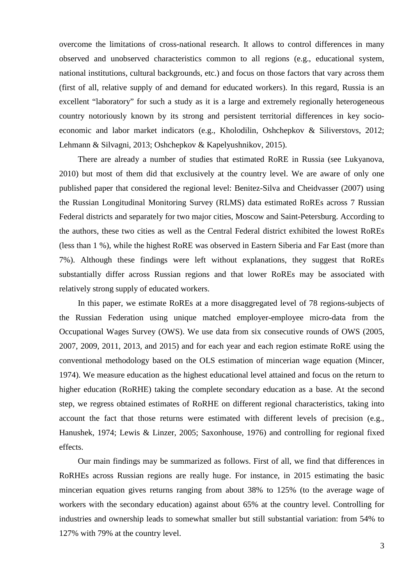overcome the limitations of cross-national research. It allows to control differences in many observed and unobserved characteristics common to all regions (e.g., educational system, national institutions, cultural backgrounds, etc.) and focus on those factors that vary across them (first of all, relative supply of and demand for educated workers). In this regard, Russia is an excellent "laboratory" for such a study as it is a large and extremely regionally heterogeneous country notoriously known by its strong and persistent territorial differences in key socioeconomic and labor market indicators (e.g., Kholodilin, Oshchepkov & Siliverstovs, 2012; Lehmann & Silvagni, 2013; Oshchepkov & Kapelyushnikov, 2015).

There are already a number of studies that estimated RoRE in Russia (see Lukyanova, 2010) but most of them did that exclusively at the country level. We are aware of only one published paper that considered the regional level: Benitez-Silva and Cheidvasser (2007) using the Russian Longitudinal Monitoring Survey (RLMS) data estimated RoREs across 7 Russian Federal districts and separately for two major cities, Moscow and Saint-Petersburg. According to the authors, these two cities as well as the Central Federal district exhibited the lowest RoREs (less than 1 %), while the highest RoRE was observed in Eastern Siberia and Far East (more than 7%). Although these findings were left without explanations, they suggest that RoREs substantially differ across Russian regions and that lower RoREs may be associated with relatively strong supply of educated workers.

In this paper, we estimate RoREs at a more disaggregated level of 78 regions-subjects of the Russian Federation using unique matched employer-employee micro-data from the Occupational Wages Survey (OWS). We use data from six consecutive rounds of OWS (2005, 2007, 2009, 2011, 2013, and 2015) and for each year and each region estimate RoRE using the conventional methodology based on the OLS estimation of mincerian wage equation (Mincer, 1974). We measure education as the highest educational level attained and focus on the return to higher education (RoRHE) taking the complete secondary education as a base. At the second step, we regress obtained estimates of RoRHE on different regional characteristics, taking into account the fact that those returns were estimated with different levels of precision (e.g., Hanushek, 1974; Lewis & Linzer, 2005; Saxonhouse, 1976) and controlling for regional fixed effects.

Our main findings may be summarized as follows. First of all, we find that differences in RoRHEs across Russian regions are really huge. For instance, in 2015 estimating the basic mincerian equation gives returns ranging from about 38% to 125% (to the average wage of workers with the secondary education) against about 65% at the country level. Controlling for industries and ownership leads to somewhat smaller but still substantial variation: from 54% to 127% with 79% at the country level.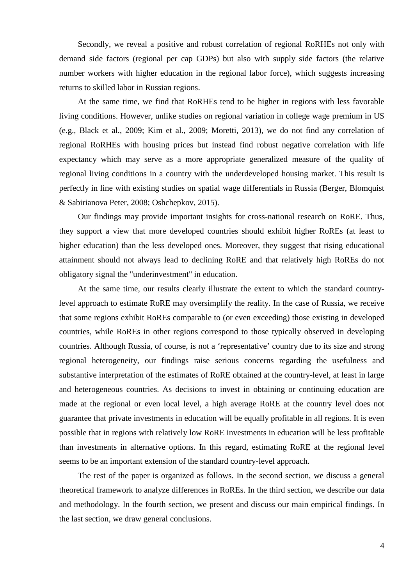Secondly, we reveal a positive and robust correlation of regional RoRHEs not only with demand side factors (regional per cap GDPs) but also with supply side factors (the relative number workers with higher education in the regional labor force), which suggests increasing returns to skilled labor in Russian regions.

At the same time, we find that RoRHEs tend to be higher in regions with less favorable living conditions. However, unlike studies on regional variation in college wage premium in US (e.g., Black et al., 2009; Kim et al., 2009; Moretti, 2013), we do not find any correlation of regional RoRHEs with housing prices but instead find robust negative correlation with life expectancy which may serve as a more appropriate generalized measure of the quality of regional living conditions in a country with the underdeveloped housing market. This result is perfectly in line with existing studies on spatial wage differentials in Russia (Berger, Blomquist & Sabirianova Peter, 2008; Oshchepkov, 2015).

Our findings may provide important insights for cross-national research on RoRE. Thus, they support a view that more developed countries should exhibit higher RoREs (at least to higher education) than the less developed ones. Moreover, they suggest that rising educational attainment should not always lead to declining RoRE and that relatively high RoREs do not obligatory signal the "underinvestment" in education.

At the same time, our results clearly illustrate the extent to which the standard countrylevel approach to estimate RoRE may oversimplify the reality. In the case of Russia, we receive that some regions exhibit RoREs comparable to (or even exceeding) those existing in developed countries, while RoREs in other regions correspond to those typically observed in developing countries. Although Russia, of course, is not a 'representative' country due to its size and strong regional heterogeneity, our findings raise serious concerns regarding the usefulness and substantive interpretation of the estimates of RoRE obtained at the country-level, at least in large and heterogeneous countries. As decisions to invest in obtaining or continuing education are made at the regional or even local level, a high average RoRE at the country level does not guarantee that private investments in education will be equally profitable in all regions. It is even possible that in regions with relatively low RoRE investments in education will be less profitable than investments in alternative options. In this regard, estimating RoRE at the regional level seems to be an important extension of the standard country-level approach.

The rest of the paper is organized as follows. In the second section, we discuss a general theoretical framework to analyze differences in RoREs. In the third section, we describe our data and methodology. In the fourth section, we present and discuss our main empirical findings. In the last section, we draw general conclusions.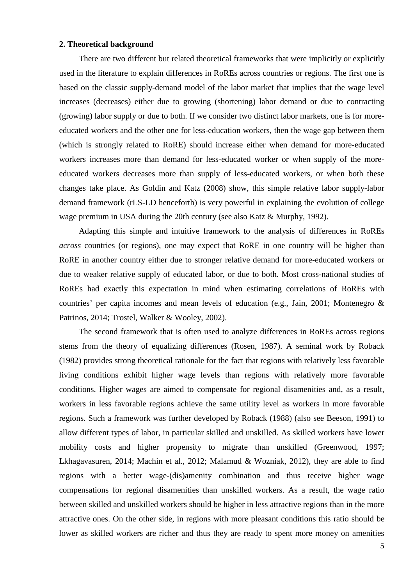## **2. Theoretical background**

There are two different but related theoretical frameworks that were implicitly or explicitly used in the literature to explain differences in RoREs across countries or regions. The first one is based on the classic supply-demand model of the labor market that implies that the wage level increases (decreases) either due to growing (shortening) labor demand or due to contracting (growing) labor supply or due to both. If we consider two distinct labor markets, one is for moreeducated workers and the other one for less-education workers, then the wage gap between them (which is strongly related to RoRE) should increase either when demand for more-educated workers increases more than demand for less-educated worker or when supply of the moreeducated workers decreases more than supply of less-educated workers, or when both these changes take place. As Goldin and Katz (2008) show, this simple relative labor supply-labor demand framework (rLS-LD henceforth) is very powerful in explaining the evolution of college wage premium in USA during the 20th century (see also Katz & Murphy, 1992).

Adapting this simple and intuitive framework to the analysis of differences in RoREs *across* countries (or regions), one may expect that RoRE in one country will be higher than RoRE in another country either due to stronger relative demand for more-educated workers or due to weaker relative supply of educated labor, or due to both. Most cross-national studies of RoREs had exactly this expectation in mind when estimating correlations of RoREs with countries' per capita incomes and mean levels of education (e.g., Jain, 2001; Montenegro & Patrinos, 2014; Trostel, Walker & Wooley, 2002).

The second framework that is often used to analyze differences in RoREs across regions stems from the theory of equalizing differences (Rosen, 1987). A seminal work by Roback (1982) provides strong theoretical rationale for the fact that regions with relatively less favorable living conditions exhibit higher wage levels than regions with relatively more favorable conditions. Higher wages are aimed to compensate for regional disamenities and, as a result, workers in less favorable regions achieve the same utility level as workers in more favorable regions. Such a framework was further developed by Roback (1988) (also see Beeson, 1991) to allow different types of labor, in particular skilled and unskilled. As skilled workers have lower mobility costs and higher propensity to migrate than unskilled (Greenwood, 1997; Lkhagavasuren, 2014; Machin et al., 2012; Malamud & Wozniak, 2012), they are able to find regions with a better wage-(dis)amenity combination and thus receive higher wage compensations for regional disamenities than unskilled workers. As a result, the wage ratio between skilled and unskilled workers should be higher in less attractive regions than in the more attractive ones. On the other side, in regions with more pleasant conditions this ratio should be lower as skilled workers are richer and thus they are ready to spent more money on amenities

5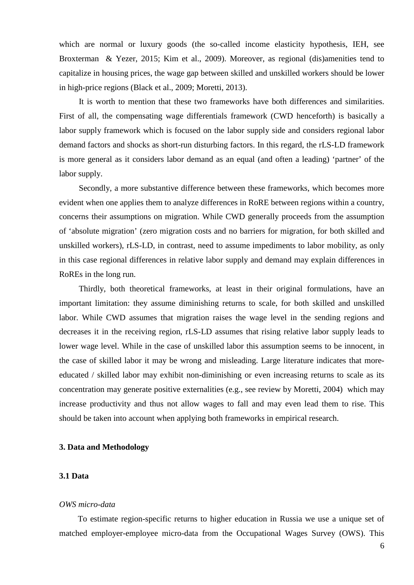which are normal or luxury goods (the so-called income elasticity hypothesis, IEH, see Broxterman & Yezer, 2015; Kim et al., 2009). Moreover, as regional (dis)amenities tend to capitalize in housing prices, the wage gap between skilled and unskilled workers should be lower in high-price regions (Black et al., 2009; Moretti, 2013).

It is worth to mention that these two frameworks have both differences and similarities. First of all, the compensating wage differentials framework (CWD henceforth) is basically a labor supply framework which is focused on the labor supply side and considers regional labor demand factors and shocks as short-run disturbing factors. In this regard, the rLS-LD framework is more general as it considers labor demand as an equal (and often a leading) 'partner' of the labor supply.

Secondly, a more substantive difference between these frameworks, which becomes more evident when one applies them to analyze differences in RoRE between regions within a country, concerns their assumptions on migration. While CWD generally proceeds from the assumption of 'absolute migration' (zero migration costs and no barriers for migration, for both skilled and unskilled workers), rLS-LD, in contrast, need to assume impediments to labor mobility, as only in this case regional differences in relative labor supply and demand may explain differences in RoREs in the long run.

Thirdly, both theoretical frameworks, at least in their original formulations, have an important limitation: they assume diminishing returns to scale, for both skilled and unskilled labor. While CWD assumes that migration raises the wage level in the sending regions and decreases it in the receiving region, rLS-LD assumes that rising relative labor supply leads to lower wage level. While in the case of unskilled labor this assumption seems to be innocent, in the case of skilled labor it may be wrong and misleading. Large literature indicates that moreeducated / skilled labor may exhibit non-diminishing or even increasing returns to scale as its concentration may generate positive externalities (e.g., see review by Moretti, 2004) which may increase productivity and thus not allow wages to fall and may even lead them to rise. This should be taken into account when applying both frameworks in empirical research.

## **3. Data and Methodology**

## **3.1 Data**

#### *OWS micro-data*

To estimate region-specific returns to higher education in Russia we use a unique set of matched employer-employee micro-data from the Occupational Wages Survey (OWS). This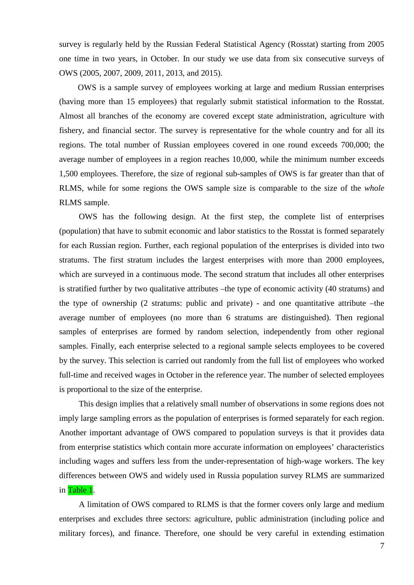survey is regularly held by the Russian Federal Statistical Agency (Rosstat) starting from 2005 one time in two years, in October. In our study we use data from six consecutive surveys of OWS (2005, 2007, 2009, 2011, 2013, and 2015).

OWS is a sample survey of employees working at large and medium Russian enterprises (having more than 15 employees) that regularly submit statistical information to the Rosstat. Almost all branches of the economy are covered except state administration, agriculture with fishery, and financial sector. The survey is representative for the whole country and for all its regions. The total number of Russian employees covered in one round exceeds 700,000; the average number of employees in a region reaches 10,000, while the minimum number exceeds 1,500 employees. Therefore, the size of regional sub-samples of OWS is far greater than that of RLMS, while for some regions the OWS sample size is comparable to the size of the *whole*  RLMS sample.

OWS has the following design. At the first step, the complete list of enterprises (population) that have to submit economic and labor statistics to the Rosstat is formed separately for each Russian region. Further, each regional population of the enterprises is divided into two stratums. The first stratum includes the largest enterprises with more than 2000 employees, which are surveyed in a continuous mode. The second stratum that includes all other enterprises is stratified further by two qualitative attributes –the type of economic activity (40 stratums) and the type of ownership (2 stratums: public and private) - and one quantitative attribute –the average number of employees (no more than 6 stratums are distinguished). Then regional samples of enterprises are formed by random selection, independently from other regional samples. Finally, each enterprise selected to a regional sample selects employees to be covered by the survey. This selection is carried out randomly from the full list of employees who worked full-time and received wages in October in the reference year. The number of selected employees is proportional to the size of the enterprise.

This design implies that a relatively small number of observations in some regions does not imply large sampling errors as the population of enterprises is formed separately for each region. Another important advantage of OWS compared to population surveys is that it provides data from enterprise statistics which contain more accurate information on employees' characteristics including wages and suffers less from the under-representation of high-wage workers. The key differences between OWS and widely used in Russia population survey RLMS are summarized in Table 1.

A limitation of OWS compared to RLMS is that the former covers only large and medium enterprises and excludes three sectors: agriculture, public administration (including police and military forces), and finance. Therefore, one should be very careful in extending estimation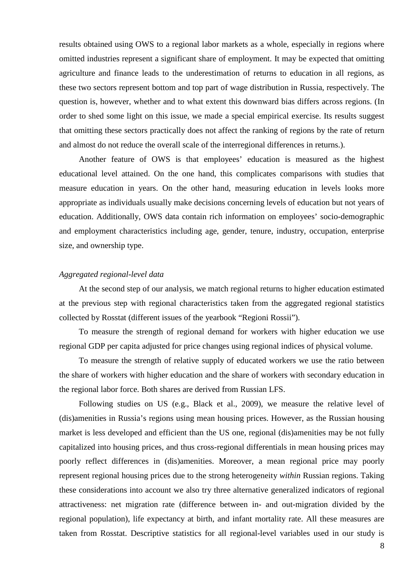results obtained using OWS to a regional labor markets as a whole, especially in regions where omitted industries represent a significant share of employment. It may be expected that omitting agriculture and finance leads to the underestimation of returns to education in all regions, as these two sectors represent bottom and top part of wage distribution in Russia, respectively. The question is, however, whether and to what extent this downward bias differs across regions. (In order to shed some light on this issue, we made a special empirical exercise. Its results suggest that omitting these sectors practically does not affect the ranking of regions by the rate of return and almost do not reduce the overall scale of the interregional differences in returns.).

Another feature of OWS is that employees' education is measured as the highest educational level attained. On the one hand, this complicates comparisons with studies that measure education in years. On the other hand, measuring education in levels looks more appropriate as individuals usually make decisions concerning levels of education but not years of education. Additionally, OWS data contain rich information on employees' socio-demographic and employment characteristics including age, gender, tenure, industry, occupation, enterprise size, and ownership type.

# *Aggregated regional-level data*

At the second step of our analysis, we match regional returns to higher education estimated at the previous step with regional characteristics taken from the aggregated regional statistics collected by Rosstat (different issues of the yearbook "Regioni Rossii").

To measure the strength of regional demand for workers with higher education we use regional GDP per capita adjusted for price changes using regional indices of physical volume.

To measure the strength of relative supply of educated workers we use the ratio between the share of workers with higher education and the share of workers with secondary education in the regional labor force. Both shares are derived from Russian LFS.

Following studies on US (e.g., Black et al., 2009), we measure the relative level of (dis)amenities in Russia's regions using mean housing prices. However, as the Russian housing market is less developed and efficient than the US one, regional (dis)amenities may be not fully capitalized into housing prices, and thus cross-regional differentials in mean housing prices may poorly reflect differences in (dis)amenities. Moreover, a mean regional price may poorly represent regional housing prices due to the strong heterogeneity *within* Russian regions. Taking these considerations into account we also try three alternative generalized indicators of regional attractiveness: net migration rate (difference between in- and out-migration divided by the regional population), life expectancy at birth, and infant mortality rate. All these measures are taken from Rosstat. Descriptive statistics for all regional-level variables used in our study is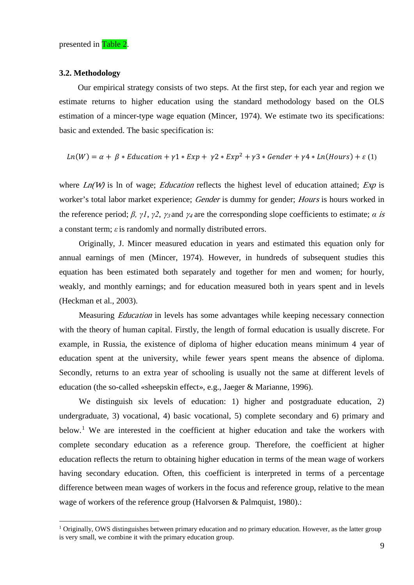#### **3.2. Methodology**

Our empirical strategy consists of two steps. At the first step, for each year and region we estimate returns to higher education using the standard methodology based on the OLS estimation of a mincer-type wage equation (Mincer, 1974). We estimate two its specifications: basic and extended. The basic specification is:

$$
Ln(W) = \alpha + \beta * Education + \gamma 1 * Exp + \gamma 2 * Exp^{2} + \gamma 3 * Gender + \gamma 4 * Ln(Hours) + \varepsilon (1)
$$

where  $Ln(W)$  is ln of wage; *Education* reflects the highest level of education attained; *Exp* is worker's total labor market experience; Gender is dummy for gender; Hours is hours worked in the reference period;  $\beta$ ,  $\gamma$ *l*,  $\gamma$ *2*,  $\gamma$ <sub>3</sub> and  $\gamma$ <sub>4</sub> are the corresponding slope coefficients to estimate; *α* is a constant term; *ε*is randomly and normally distributed errors.

Originally, J. Mincer measured education in years and estimated this equation only for annual earnings of men (Mincer, 1974). However, in hundreds of subsequent studies this equation has been estimated both separately and together for men and women; for hourly, weakly, and monthly earnings; and for education measured both in years spent and in levels (Heckman et al., 2003).

Measuring Education in levels has some advantages while keeping necessary connection with the theory of human capital. Firstly, the length of formal education is usually discrete. For example, in Russia, the existence of diploma of higher education means minimum 4 year of education spent at the university, while fewer years spent means the absence of diploma. Secondly, returns to an extra year of schooling is usually not the same at different levels of education (the so-called «sheepskin effect», e.g., Jaeger & Marianne, 1996).

We distinguish six levels of education: 1) higher and postgraduate education, 2) undergraduate, 3) vocational, 4) basic vocational, 5) complete secondary and 6) primary and below.<sup>[1](#page-8-0)</sup> We are interested in the coefficient at higher education and take the workers with complete secondary education as a reference group. Therefore, the coefficient at higher education reflects the return to obtaining higher education in terms of the mean wage of workers having secondary education. Often, this coefficient is interpreted in terms of a percentage difference between mean wages of workers in the focus and reference group, relative to the mean wage of workers of the reference group (Halvorsen & Palmquist, 1980).:

<span id="page-8-0"></span> $1$  Originally, OWS distinguishes between primary education and no primary education. However, as the latter group is very small, we combine it with the primary education group.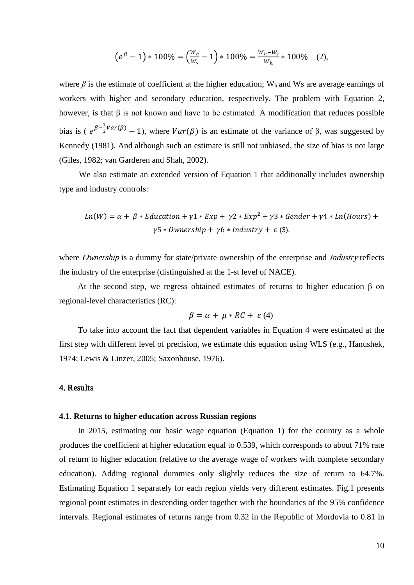$$
(e^{\beta}-1) * 100\% = \left(\frac{w_h}{w_s} - 1\right) * 100\% = \frac{w_h - w_s}{w_h} * 100\% \quad (2),
$$

where  $\beta$  is the estimate of coefficient at the higher education; W<sub>h</sub> and Ws are average earnings of workers with higher and secondary education, respectively. The problem with Equation 2, however, is that  $\beta$  is not known and have to be estimated. A modification that reduces possible bias is ( $e^{\beta-\frac{1}{2}Var(\beta)}-1$ ), where  $Var(\beta)$  is an estimate of the variance of  $\beta$ , was suggested by Kennedy (1981). And although such an estimate is still not unbiased, the size of bias is not large (Giles, 1982; van Garderen and Shah, 2002).

We also estimate an extended version of Equation 1 that additionally includes ownership type and industry controls:

$$
Ln(W) = \alpha + \beta * Education + \gamma 1 * Exp + \gamma 2 * Exp^{2} + \gamma 3 * Gender + \gamma 4 * Ln(Hours) + \gamma 5 * Ownership + \gamma 6 * Industry + \varepsilon (3),
$$

where *Ownership* is a dummy for state/private ownership of the enterprise and *Industry* reflects the industry of the enterprise (distinguished at the 1-st level of NACE).

At the second step, we regress obtained estimates of returns to higher education β on regional-level characteristics (RC):

$$
\beta = \alpha + \mu * RC + \varepsilon (4)
$$

To take into account the fact that dependent variables in Equation 4 were estimated at the first step with different level of precision, we estimate this equation using WLS (e.g., Hanushek, 1974; Lewis & Linzer, 2005; Saxonhouse, 1976).

## 4. Results

#### **4.1. Returns to higher education across Russian regions**

In 2015, estimating our basic wage equation (Equation 1) for the country as a whole produces the coefficient at higher education equal to 0.539, which corresponds to about 71% rate of return to higher education (relative to the average wage of workers with complete secondary education). Adding regional dummies only slightly reduces the size of return to 64.7%. Estimating Equation 1 separately for each region yields very different estimates. Fig.1 presents regional point estimates in descending order together with the boundaries of the 95% confidence intervals. Regional estimates of returns range from 0.32 in the Republic of Mordovia to 0.81 in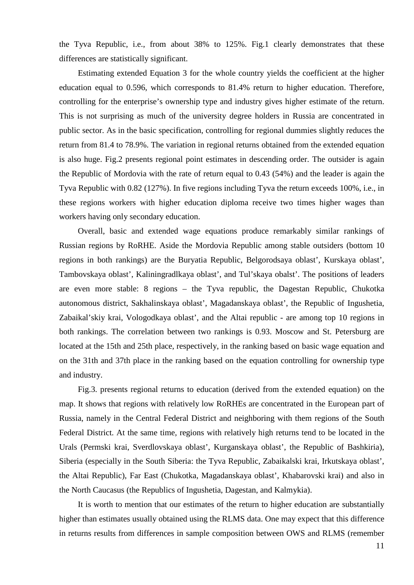the Tyva Republic, i.e., from about 38% to 125%. Fig.1 clearly demonstrates that these differences are statistically significant.

Estimating extended Equation 3 for the whole country yields the coefficient at the higher education equal to 0.596, which corresponds to 81.4% return to higher education. Therefore, controlling for the enterprise's ownership type and industry gives higher estimate of the return. This is not surprising as much of the university degree holders in Russia are concentrated in public sector. As in the basic specification, controlling for regional dummies slightly reduces the return from 81.4 to 78.9%. The variation in regional returns obtained from the extended equation is also huge. Fig.2 presents regional point estimates in descending order. The outsider is again the Republic of Mordovia with the rate of return equal to 0.43 (54%) and the leader is again the Tyva Republic with 0.82 (127%). In five regions including Tyva the return exceeds 100%, i.e., in these regions workers with higher education diploma receive two times higher wages than workers having only secondary education.

Overall, basic and extended wage equations produce remarkably similar rankings of Russian regions by RoRHE. Aside the Mordovia Republic among stable outsiders (bottom 10 regions in both rankings) are the Buryatia Republic, Belgorodsaya oblast', Kurskaya oblast', Tambovskaya oblast', Kaliningradlkaya oblast', and Tul'skaya obalst'. The positions of leaders are even more stable: 8 regions – the Tyva republic, the Dagestan Republic, Chukotka autonomous district, Sakhalinskaya oblast', Magadanskaya oblast', the Republic of Ingushetia, Zabaikal'skiy krai, Vologodkaya oblast', and the Altai republic - are among top 10 regions in both rankings. The correlation between two rankings is 0.93. Moscow and St. Petersburg are located at the 15th and 25th place, respectively, in the ranking based on basic wage equation and on the 31th and 37th place in the ranking based on the equation controlling for ownership type and industry.

Fig.3. presents regional returns to education (derived from the extended equation) on the map. It shows that regions with relatively low RoRHEs are concentrated in the European part of Russia, namely in the Central Federal District and neighboring with them regions of the South Federal District. At the same time, regions with relatively high returns tend to be located in the Urals (Permski krai, Sverdlovskaya oblast', Kurganskaya oblast', the Republic of Bashkiria), Siberia (especially in the South Siberia: the Tyva Republic, Zabaikalski krai, Irkutskaya oblast', the Altai Republic), Far East (Chukotka, Magadanskaya oblast', Khabarovski krai) and also in the North Caucasus (the Republics of Ingushetia, Dagestan, and Kalmykia).

It is worth to mention that our estimates of the return to higher education are substantially higher than estimates usually obtained using the RLMS data. One may expect that this difference in returns results from differences in sample composition between OWS and RLMS (remember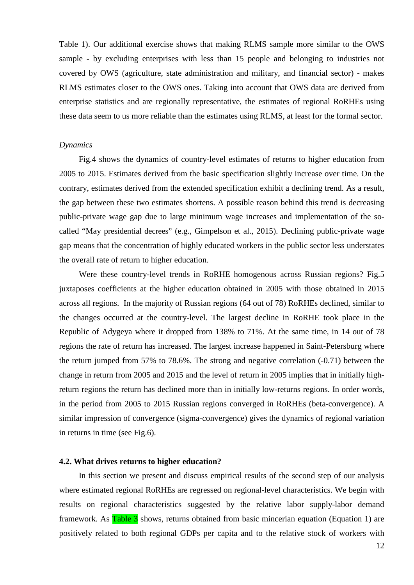Table 1). Our additional exercise shows that making RLMS sample more similar to the OWS sample - by excluding enterprises with less than 15 people and belonging to industries not covered by OWS (agriculture, state administration and military, and financial sector) - makes RLMS estimates closer to the OWS ones. Taking into account that OWS data are derived from enterprise statistics and are regionally representative, the estimates of regional RoRHEs using these data seem to us more reliable than the estimates using RLMS, at least for the formal sector.

## *Dynamics*

Fig.4 shows the dynamics of country-level estimates of returns to higher education from 2005 to 2015. Estimates derived from the basic specification slightly increase over time. On the contrary, estimates derived from the extended specification exhibit a declining trend. As a result, the gap between these two estimates shortens. A possible reason behind this trend is decreasing public-private wage gap due to large minimum wage increases and implementation of the socalled "May presidential decrees" (e.g., Gimpelson et al., 2015). Declining public-private wage gap means that the concentration of highly educated workers in the public sector less understates the overall rate of return to higher education.

Were these country-level trends in RoRHE homogenous across Russian regions? Fig.5 juxtaposes coefficients at the higher education obtained in 2005 with those obtained in 2015 across all regions. In the majority of Russian regions (64 out of 78) RoRHEs declined, similar to the changes occurred at the country-level. The largest decline in RoRHE took place in the Republic of Adygeya where it dropped from 138% to 71%. At the same time, in 14 out of 78 regions the rate of return has increased. The largest increase happened in Saint-Petersburg where the return jumped from 57% to 78.6%. The strong and negative correlation (-0.71) between the change in return from 2005 and 2015 and the level of return in 2005 implies that in initially highreturn regions the return has declined more than in initially low-returns regions. In order words, in the period from 2005 to 2015 Russian regions converged in RoRHEs (beta-convergence). A similar impression of convergence (sigma-convergence) gives the dynamics of regional variation in returns in time (see Fig.6).

### **4.2. What drives returns to higher education?**

In this section we present and discuss empirical results of the second step of our analysis where estimated regional RoRHEs are regressed on regional-level characteristics. We begin with results on regional characteristics suggested by the relative labor supply-labor demand framework. As Table 3 shows, returns obtained from basic mincerian equation (Equation 1) are positively related to both regional GDPs per capita and to the relative stock of workers with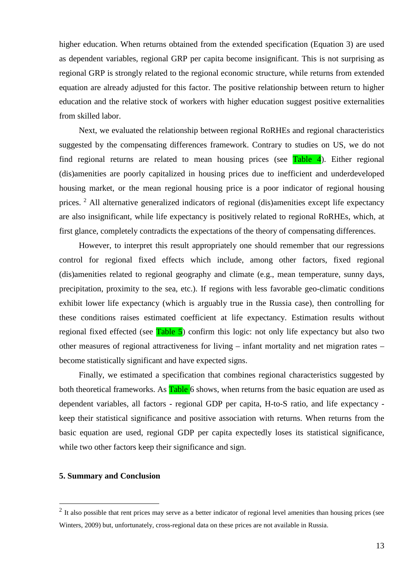higher education. When returns obtained from the extended specification (Equation 3) are used as dependent variables, regional GRP per capita become insignificant. This is not surprising as regional GRP is strongly related to the regional economic structure, while returns from extended equation are already adjusted for this factor. The positive relationship between return to higher education and the relative stock of workers with higher education suggest positive externalities from skilled labor.

Next, we evaluated the relationship between regional RoRHEs and regional characteristics suggested by the compensating differences framework. Contrary to studies on US, we do not find regional returns are related to mean housing prices (see  $Table 4$ ). Either regional (dis)amenities are poorly capitalized in housing prices due to inefficient and underdeveloped housing market, or the mean regional housing price is a poor indicator of regional housing prices. [2](#page-12-0) All alternative generalized indicators of regional (dis)amenities except life expectancy are also insignificant, while life expectancy is positively related to regional RoRHEs, which, at first glance, completely contradicts the expectations of the theory of compensating differences.

However, to interpret this result appropriately one should remember that our regressions control for regional fixed effects which include, among other factors, fixed regional (dis)amenities related to regional geography and climate (e.g., mean temperature, sunny days, precipitation, proximity to the sea, etc.). If regions with less favorable geo-climatic conditions exhibit lower life expectancy (which is arguably true in the Russia case), then controlling for these conditions raises estimated coefficient at life expectancy. Estimation results without regional fixed effected (see  $Table 5$ ) confirm this logic: not only life expectancy but also two other measures of regional attractiveness for living – infant mortality and net migration rates – become statistically significant and have expected signs.

Finally, we estimated a specification that combines regional characteristics suggested by both theoretical frameworks. As **Table** 6 shows, when returns from the basic equation are used as dependent variables, all factors - regional GDP per capita, H-to-S ratio, and life expectancy keep their statistical significance and positive association with returns. When returns from the basic equation are used, regional GDP per capita expectedly loses its statistical significance, while two other factors keep their significance and sign.

# **5. Summary and Conclusion**

<span id="page-12-0"></span> $2$  It also possible that rent prices may serve as a better indicator of regional level amenities than housing prices (see Winters, 2009) but, unfortunately, cross-regional data on these prices are not available in Russia.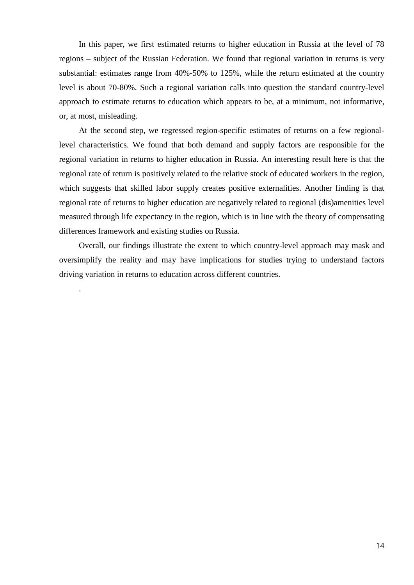In this paper, we first estimated returns to higher education in Russia at the level of 78 regions – subject of the Russian Federation. We found that regional variation in returns is very substantial: estimates range from 40%-50% to 125%, while the return estimated at the country level is about 70-80%. Such a regional variation calls into question the standard country-level approach to estimate returns to education which appears to be, at a minimum, not informative, or, at most, misleading.

At the second step, we regressed region-specific estimates of returns on a few regionallevel characteristics. We found that both demand and supply factors are responsible for the regional variation in returns to higher education in Russia. An interesting result here is that the regional rate of return is positively related to the relative stock of educated workers in the region, which suggests that skilled labor supply creates positive externalities. Another finding is that regional rate of returns to higher education are negatively related to regional (dis)amenities level measured through life expectancy in the region, which is in line with the theory of compensating differences framework and existing studies on Russia.

Overall, our findings illustrate the extent to which country-level approach may mask and oversimplify the reality and may have implications for studies trying to understand factors driving variation in returns to education across different countries.

.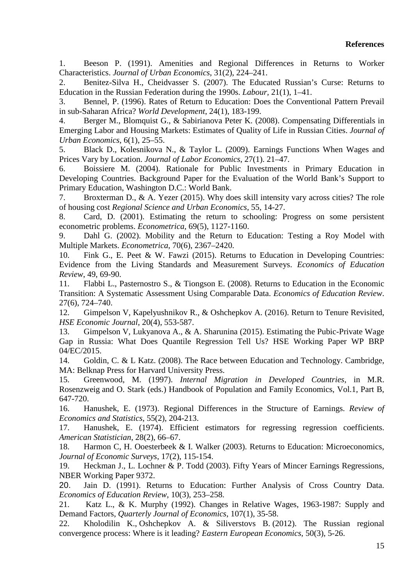1. Beeson P. (1991). Amenities and Regional Differences in Returns to Worker Characteristics. *Journal of Urban Economics*, 31(2), 224–241.

2. Benitez-Silva H., Cheidvasser S. (2007). The Educated Russian's Curse: Returns to Education in the Russian Federation during the 1990s. *Labour,* 21(1), 1–41.

3. Bennel, P. (1996). Rates of Return to Education: Does the Conventional Pattern Prevail in sub-Saharan Africa? *World Development*, 24(1), 183-199.

4. Berger M., Blomquist G., & Sabirianova Peter K. (2008). Compensating Differentials in Emerging Labor and Housing Markets: Estimates of Quality of Life in Russian Cities. *Journal of Urban Economics*, 6(1), 25–55.

5. Black D., Kolesnikova N., & Taylor L. (2009). Earnings Functions When Wages and Prices Vary by Location. *Journal of Labor Economics*, 27(1). 21–47.

6. Boissiere M. (2004). Rationale for Public Investments in Primary Education in Developing Countries. Background Paper for the Evaluation of the World Bank's Support to Primary Education, Washington D.C.: World Bank.

7. Broxterman D., & A. Yezer (2015). Why does skill intensity vary across cities? The role of housing cost *Regional Science and Urban Economics*, 55, 14-27.

8. Card, D. (2001). Estimating the return to schooling: Progress on some persistent econometric problems. *Econometrica,* 69(5), 1127-1160.

9. Dahl G. (2002). Mobility and the Return to Education: Testing a Roy Model with Multiple Markets. *Econometrica*, 70(6), 2367–2420.

10. Fink G., E. Peet & W. Fawzi (2015). Returns to Education in Developing Countries: Evidence from the Living Standards and Measurement Surveys. *Economics of Education Review*, 49, 69-90.

11. Flabbi L., Pasternostro S., & Tiongson E. (2008). Returns to Education in the Economic Transition: A Systematic Assessment Using Comparable Data. *Economics of Education Review*. 27(6), 724–740.

12. Gimpelson V, Kapelyushnikov R., & Oshchepkov A. (2016). Return to Tenure Revisited, *HSE Economic Journal*, 20(4), 553-587.

13. Gimpelson V, Lukyanova A., & A. Sharunina (2015). Estimating the Pubic-Private Wage Gap in Russia: What Does Quantile Regression Tell Us? HSE Working Paper WP BRP 04/EC/2015.

14. Goldin, C. & L Katz. (2008). The Race between Education and Technology. Cambridge, MA: Belknap Press for Harvard University Press.

15. Greenwood, M. (1997). *Internal Migration in Developed Countries*, in M.R. Rosenzweig and O. Stark (eds.) Handbook of Population and Family Economics, Vol.1, Part B, 647-720.

16. Hanushek, E. (1973). Regional Differences in the Structure of Earnings. *Review of Economics and Statistics*, 55(2), 204-213.

17. Hanushek, E. (1974). Efficient estimators for regressing regression coefficients. *American Statistician*, 28(2), 66–67.

18. Harmon C, H. Ooesterbeek & I. Walker (2003). Returns to Education: Microeconomics, *Journal of Economic Surveys*, 17(2), 115-154.

19. Heckman J., L. Lochner & P. Todd (2003). Fifty Years of Mincer Earnings Regressions, NBER Working Paper 9372.

20. Jain D. (1991). Returns to Education: Further Analysis of Cross Country Data. *Economics of Education Review*, 10(3), 253–258.

21. Katz L., & K. Murphy (1992). Changes in Relative Wages, 1963-1987: Supply and Demand Factors, *Quarterly Journal of Economics*, 107(1), 35-58.

22. Kholodilin K., Oshchepkov A. & Siliverstovs B. (2012). The Russian regional convergence process: Where is it leading? *Eastern European Economics*, 50(3), 5-26.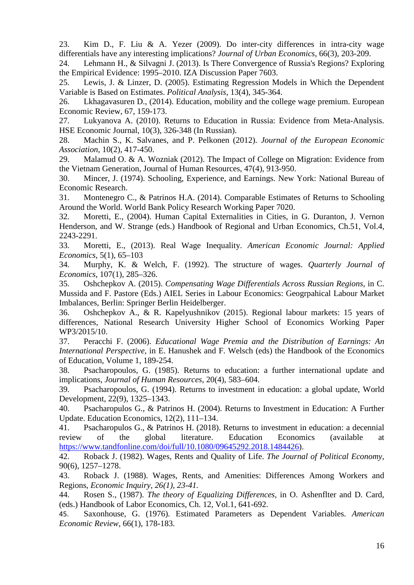23. Kim D., F. Liu & A. Yezer (2009). Do inter-city differences in intra-city wage differentials have any interesting implications? *Journal of Urban Economics*, 66(3), 203-209.

24. Lehmann H., & Silvagni J. (2013). Is There Convergence of Russia's Regions? Exploring the Empirical Evidence: 1995–2010. IZA Discussion Paper 7603.

25. Lewis, J. & Linzer, D. (2005). Estimating Regression Models in Which the Dependent Variable is Based on Estimates. *Political Analysis*, 13(4), 345-364.

26. Lkhagavasuren D., (2014). Education, mobility and the college wage premium. European Economic Review, 67, 159-173.

27. Lukyanova A. (2010). Returns to Education in Russia: Evidence from Meta-Analysis. HSE Economic Journal, 10(3), 326-348 (In Russian).

28. Machin S., K. Salvanes, and P. Pelkonen (2012). *Journal of the European Economic Association*, 10(2), 417-450.

29. Malamud O. & A. Wozniak (2012). The Impact of College on Migration: Evidence from the Vietnam Generation, Journal of Human Resources, 47(4), 913-950.

30. Mincer, J. (1974). Schooling, Experience, and Earnings. New York: National Bureau of Economic Research.

31. Montenegro C., & Patrinos H.A. (2014). Comparable Estimates of Returns to Schooling Around the World. World Bank Policy Research Working Paper 7020.

32. Moretti, E., (2004). Human Capital Externalities in Cities, in G. Duranton, J. Vernon Henderson, and W. Strange (eds.) Handbook of Regional and Urban Economics, Ch.51, Vol.4, 2243-2291.

33. Moretti, E., (2013). Real Wage Inequality. *American Economic Journal: Applied Economics*, 5(1), 65–103

34. Murphy, K. & Welch, F. (1992). The structure of wages. *Quarterly Journal of Economics*, 107(1), 285–326.

35. Oshchepkov A. (2015). *Compensating Wage Differentials Across Russian Regions*, in C. Mussida and F. Pastore (Eds.) AIEL Series in Labour Economics: Geogrpahical Labour Market Imbalances, Berlin: Springer Berlin Heidelberger.

36. Oshchepkov A., & R. Kapelyushnikov (2015). Regional labour markets: 15 years of differences, National Research University Higher School of Economics Working Paper WP3/2015/10.

37. Peracchi F. (2006). *Educational Wage Premia and the Distribution of Earnings: An International Perspective,* in E. Hanushek and F. Welsch (eds) the Handbook of the Economics of Education, Volume 1, 189-254.

38. Psacharopoulos, G. (1985). Returns to education: a further international update and implications, *Journal of Human Resources*, 20(4), 583–604.

39. Psacharopoulos, G. (1994). Returns to investment in education: a global update, World Development, 22(9), 1325–1343.

40. Psacharopulos G., & Patrinos H. (2004). Returns to Investment in Education: A Further Update. Education Economics, 12(2), 111–134.

41. Psacharopulos G., & Patrinos H. (2018). Returns to investment in education: a decennial review of the global literature. Education Economics (available at [https://www.tandfonline.com/doi/full/10.1080/09645292.2018.1484426\)](https://www.tandfonline.com/doi/full/10.1080/09645292.2018.1484426).

42. Roback J. (1982). Wages, Rents and Quality of Life. *The Journal of Political Economy*, 90(6), 1257–1278.

43. Roback J. (1988). Wages, Rents, and Amenities: Differences Among Workers and Regions, *Economic Inquiry, 26(1), 23-41.*

44. Rosen S., (1987). *The theory of Equalizing Differences,* in O. Ashenflter and D. Card, (eds.) Handbook of Labor Economics, Ch. 12, Vol.1, 641-692.

45. Saxonhouse, G. (1976). Estimated Parameters as Dependent Variables. *American Economic Review*, 66(1), 178-183.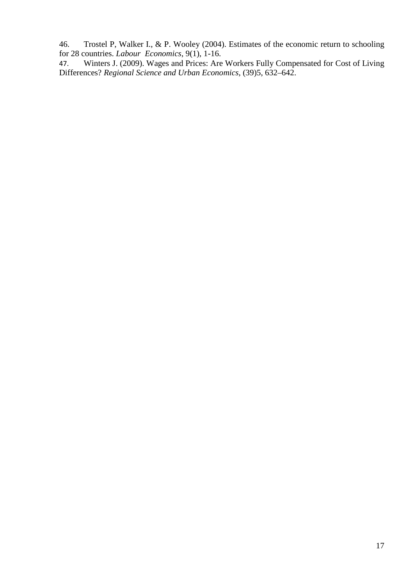46. Trostel P, Walker I., & P. Wooley (2004). Estimates of the economic return to schooling for 28 countries. *Labour Economics*, 9(1), 1-16.

47. Winters J. (2009). Wages and Prices: Are Workers Fully Compensated for Cost of Living Differences? *Regional Science and Urban Economics*, (39)5, 632–642.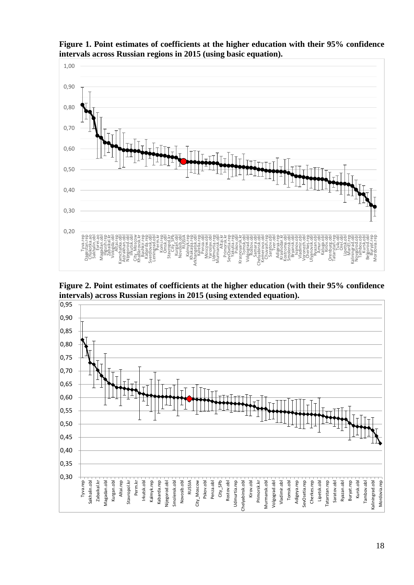

**Figure 1. Point estimates of coefficients at the higher education with their 95% confidence intervals across Russian regions in 2015 (using basic equation).**

**Figure 2. Point estimates of coefficients at the higher education (with their 95% confidence intervals) across Russian regions in 2015 (using extended equation).**

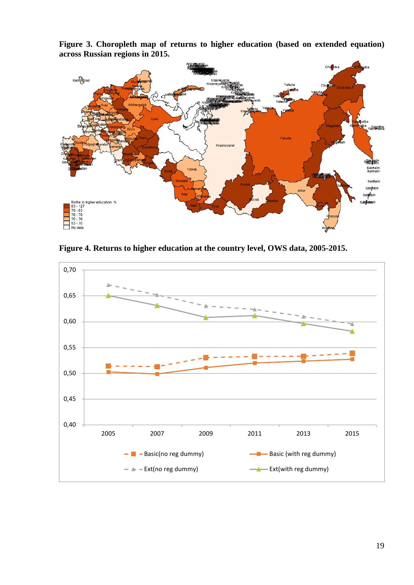**Figure 3. Choropleth map of returns to higher education (based on extended equation) across Russian regions in 2015.**



**Figure 4. Returns to higher education at the country level, OWS data, 2005-2015.**

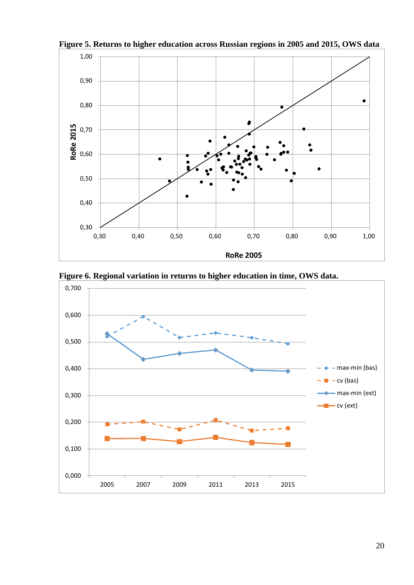

**Figure 5. Returns to higher education across Russian regions in 2005 and 2015, OWS data**

**Figure 6. Regional variation in returns to higher education in time, OWS data.**

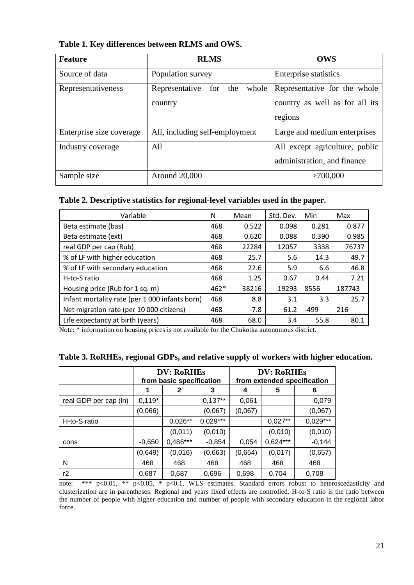| <b>Feature</b>           | <b>RLMS</b>                                   | <b>OWS</b>                                                                |
|--------------------------|-----------------------------------------------|---------------------------------------------------------------------------|
| Source of data           | Population survey                             | <b>Enterprise statistics</b>                                              |
| Representativeness       | Representative<br>for the<br>whole<br>country | Representative for the whole<br>country as well as for all its<br>regions |
| Enterprise size coverage | All, including self-employment                | Large and medium enterprises                                              |
| Industry coverage        | All                                           | All except agriculture, public<br>administration, and finance             |
| Sample size              | Around 20,000                                 | >700,000                                                                  |

**Table 1. Key differences between RLMS and OWS.**

# **Table 2. Descriptive statistics for regional-level variables used in the paper.**

| Variable                                       | N      | Mean   | Std. Dev. | Min    | Max    |
|------------------------------------------------|--------|--------|-----------|--------|--------|
| Beta estimate (bas)                            | 468    | 0.522  | 0.098     | 0.281  | 0.877  |
| Beta estimate (ext)                            | 468    | 0.620  | 0.088     | 0.390  | 0.985  |
| real GDP per cap (Rub)                         | 468    | 22284  | 12057     | 3338   | 76737  |
| % of LF with higher education                  | 468    | 25.7   | 5.6       | 14.3   | 49.7   |
| % of LF with secondary education               | 468    | 22.6   | 5.9       | 6.6    | 46.8   |
| H-to-S ratio                                   | 468    | 1.25   | 0.67      | 0.44   | 7.21   |
| Housing price (Rub for 1 sq. m)                | $462*$ | 38216  | 19293     | 8556   | 187743 |
| Infant mortality rate (per 1 000 infants born) | 468    | 8.8    | 3.1       | 3.3    | 25.7   |
| Net migration rate (per 10 000 citizens)       | 468    | $-7.8$ | 61.2      | $-499$ | 216    |
| Life expectancy at birth (years)               | 468    | 68.0   | 3.4       | 55.8   | 80.1   |

Note: \* information on housing prices is not available for the Chukotka autonomous district.

|  |  |  | Table 3. RoRHEs, regional GDPs, and relative supply of workers with higher education. |  |
|--|--|--|---------------------------------------------------------------------------------------|--|
|  |  |  |                                                                                       |  |

|                       |          | <b>DV: RoRHES</b><br>from basic specification |            | <b>DV: RoRHES</b><br>from extended specification |            |            |  |
|-----------------------|----------|-----------------------------------------------|------------|--------------------------------------------------|------------|------------|--|
|                       | 1        | 2                                             | 3          | 4                                                | 5          | 6          |  |
| real GDP per cap (ln) | $0,119*$ |                                               | $0,137**$  | 0,061                                            |            | 0,079      |  |
|                       | (0,066)  |                                               | (0,067)    | (0,067)                                          |            | (0,067)    |  |
| H-to-S ratio          |          | $0,026**$                                     | $0,029***$ |                                                  | $0,027**$  | $0,029***$ |  |
|                       |          | (0,011)                                       | (0,010)    |                                                  | (0,010)    | (0,010)    |  |
| cons                  | $-0,650$ | $0,486***$                                    | $-0,854$   | 0,054                                            | $0,624***$ | $-0,144$   |  |
|                       | (0,649)  | (0,016)                                       | (0,663)    | (0,654)                                          | (0,017)    | (0,657)    |  |
| N                     | 468      | 468                                           | 468        | 468                                              | 468        | 468        |  |
| r2                    | 0,687    | 0,687                                         | 0,696      | 0,698                                            | 0,704      | 0,708      |  |

note: \*\*\* p<0.01, \*\* p<0.05, \* p<0.1. WLS estimates. Standard errors robust to heteroscedasticity and clusterization are in parentheses. Regional and years fixed effects are controlled. H-to-S ratio is the ratio between the number of people with higher education and number of people with secondary education in the regional labor force.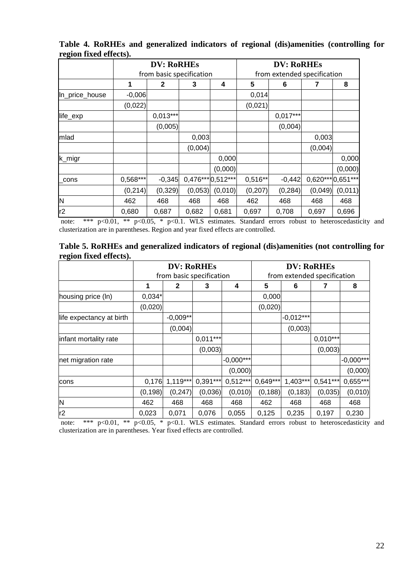|                |            | <b>DV: RoRHES</b>        |                   |         | <b>DV: RoRHES</b><br>from extended specification |            |                   |         |
|----------------|------------|--------------------------|-------------------|---------|--------------------------------------------------|------------|-------------------|---------|
|                |            | from basic specification |                   |         |                                                  |            |                   |         |
|                | 1          | $\mathbf{2}$             | 3                 | 4       | 5                                                | 6          | 7                 | 8       |
| In_price_house | $-0,006$   |                          |                   |         | 0,014                                            |            |                   |         |
|                | (0,022)    |                          |                   |         | (0,021)                                          |            |                   |         |
| life_exp       |            | $0.013***$               |                   |         |                                                  | $0,017***$ |                   |         |
|                |            | (0,005)                  |                   |         |                                                  | (0,004)    |                   |         |
| mlad           |            |                          | 0,003             |         |                                                  |            | 0,003             |         |
|                |            |                          | (0,004)           |         |                                                  |            | (0,004)           |         |
| k_migr         |            |                          |                   | 0,000   |                                                  |            |                   | 0,000   |
|                |            |                          |                   | (0,000) |                                                  |            |                   | (0,000) |
| cons           | $0,568***$ | $-0,345$                 | 0,476*** 0,512*** |         | $0,516**$                                        | $-0,442$   | 0,620*** 0,651*** |         |
|                | (0, 214)   | (0, 329)                 | (0,053)           | (0,010) | (0, 207)                                         | (0, 284)   | (0,049)           | (0,011) |
| N              | 462        | 468                      | 468               | 468     | 462                                              | 468        | 468               | 468     |
| r2             | 0,680      | 0,687                    | 0,682             | 0,681   | 0,697                                            | 0,708      | 0,697             | 0,696   |

**Table 4. RoRHEs and generalized indicators of regional (dis)amenities (controlling for region fixed effects).**

note: \*\*\* p<0.01, \*\* p<0.05, \* p<0.1. WLS estimates. Standard errors robust to heteroscedasticity and clusterization are in parentheses. Region and year fixed effects are controlled.

| Table 5. RoRHEs and generalized indicators of regional (dis)amenities (not controlling for |  |  |
|--------------------------------------------------------------------------------------------|--|--|
| region fixed effects).                                                                     |  |  |

|                          | <b>DV: RoRHES</b> |              |                          |             | <b>DV: RoRHEs</b>           |             |            |             |
|--------------------------|-------------------|--------------|--------------------------|-------------|-----------------------------|-------------|------------|-------------|
|                          |                   |              | from basic specification |             | from extended specification |             |            |             |
|                          | 1                 | $\mathbf{2}$ | 3                        | 4           | 5                           | 6           |            | 8           |
| housing price (ln)       | $0,034*$          |              |                          |             | 0,000                       |             |            |             |
|                          | (0,020)           |              |                          |             | (0,020)                     |             |            |             |
| life expectancy at birth |                   | $-0,009**$   |                          |             |                             | $-0.012***$ |            |             |
|                          |                   | (0,004)      |                          |             |                             | (0,003)     |            |             |
| infant mortality rate    |                   |              | $0,011***$               |             |                             |             | $0,010***$ |             |
|                          |                   |              | (0,003)                  |             |                             |             | (0,003)    |             |
| net migration rate       |                   |              |                          | $-0,000***$ |                             |             |            | $-0,000***$ |
|                          |                   |              |                          | (0,000)     |                             |             |            | (0,000)     |
| cons                     | 0,176             | 1,119***     | $0,391***$               | $0,512***$  | $0,649***$                  | $1,403***$  | $0,541***$ | $0,655***$  |
|                          | (0, 198)          | (0, 247)     | (0,036)                  | (0,010)     | (0, 188)                    | (0, 183)    | (0,035)    | (0,010)     |
| ΙN                       | 462               | 468          | 468                      | 468         | 462                         | 468         | 468        | 468         |
| r2                       | 0,023             | 0,071        | 0,076                    | 0,055       | 0,125                       | 0,235       | 0,197      | 0,230       |

note: \*\*\*  $p<0.01$ , \*\*  $p<0.05$ , \*  $p<0.1$ . WLS estimates. Standard errors robust to heteroscedasticity and clusterization are in parentheses. Year fixed effects are controlled.